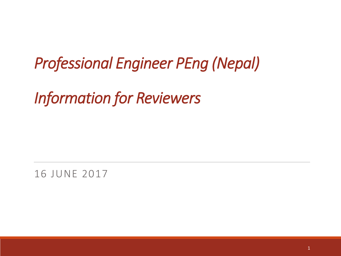*Professional Engineer PEng (Nepal)*

*Information for Reviewers*

16 JUNE 2017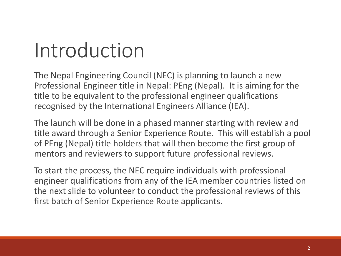### Introduction

The Nepal Engineering Council (NEC) is planning to launch a new Professional Engineer title in Nepal: PEng (Nepal). It is aiming for the title to be equivalent to the professional engineer qualifications recognised by the International Engineers Alliance (IEA).

The launch will be done in a phased manner starting with review and title award through a Senior Experience Route. This will establish a pool of PEng (Nepal) title holders that will then become the first group of mentors and reviewers to support future professional reviews.

To start the process, the NEC require individuals with professional engineer qualifications from any of the IEA member countries listed on the next slide to volunteer to conduct the professional reviews of this first batch of Senior Experience Route applicants.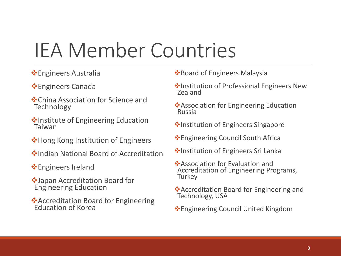### IEA Member Countries

- **Engineers Australia**
- **Engineers Canada**
- China Association for Science and **Technology**
- $\cdot$ Institute of Engineering Education Taiwan
- **V**Hong Kong Institution of Engineers
- **❖Indian National Board of Accreditation**
- **Engineers Ireland**
- Japan Accreditation Board for Engineering Education
- Accreditation Board for Engineering Education of Korea
- **E**Board of Engineers Malaysia
- **Vert Institution of Professional Engineers New** Zealand
- **❖** Association for Engineering Education Russia
- ◆Institution of Engineers Singapore
- Engineering Council South Africa
- **V**Institution of Engineers Sri Lanka
- Association for Evaluation and Accreditation of Engineering Programs, **Turkey**
- Accreditation Board for Engineering and Technology, USA
- Engineering Council United Kingdom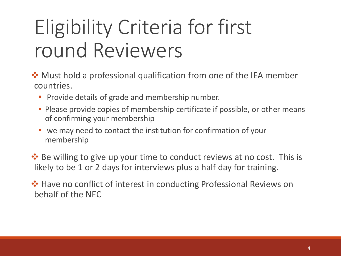### Eligibility Criteria for first round Reviewers

 $\dots$  Must hold a professional qualification from one of the IEA member countries.

- **Provide details of grade and membership number.**
- **Please provide copies of membership certificate if possible, or other means** of confirming your membership
- we may need to contact the institution for confirmation of your membership

**\*** Be willing to give up your time to conduct reviews at no cost. This is likely to be 1 or 2 days for interviews plus a half day for training.

 $\cdot$  Have no conflict of interest in conducting Professional Reviews on behalf of the NEC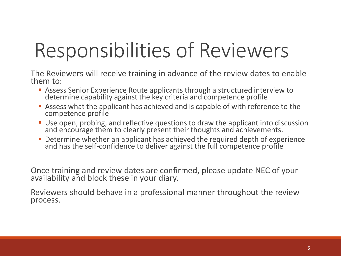### Responsibilities of Reviewers

The Reviewers will receive training in advance of the review dates to enable them to:

- Assess Senior Experience Route applicants through a structured interview to determine capability against the key criteria and competence profile
- Assess what the applicant has achieved and is capable of with reference to the competence profile
- Use open, probing, and reflective questions to draw the applicant into discussion and encourage them to clearly present their thoughts and achievements.
- **Determine whether an applicant has achieved the required depth of experience** and has the self-confidence to deliver against the full competence profile

Once training and review dates are confirmed, please update NEC of your availability and block these in your diary.

Reviewers should behave in a professional manner throughout the review process.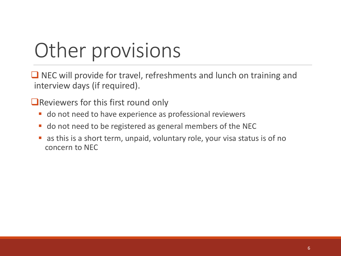### Other provisions

 $\Box$  NEC will provide for travel, refreshments and lunch on training and interview days (if required).

**Exercise FLAN** Reviewers for this first round only

- **do not need to have experience as professional reviewers**
- **do not need to be registered as general members of the NEC**
- as this is a short term, unpaid, voluntary role, your visa status is of no concern to NEC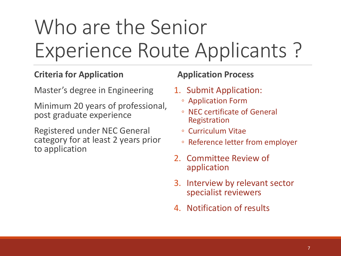## Who are the Senior Experience Route Applicants ?

### **Criteria for Application**

Master's degree in Engineering

Minimum 20 years of professional, post graduate experience

Registered under NEC General category for at least 2 years prior to application

### **Application Process**

- 1. Submit Application:
	- Application Form
	- NEC certificate of General Registration
	- Curriculum Vitae
	- Reference letter from employer
- 2. Committee Review of application
- 3. Interview by relevant sector specialist reviewers
- 4. Notification of results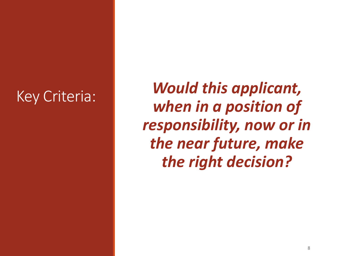Key Criteria: *Would this applicant, when in a position of responsibility, now or in the near future, make the right decision?*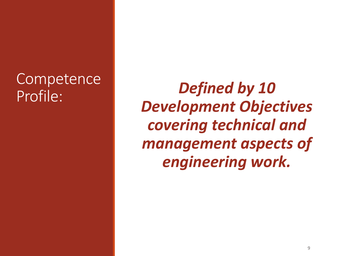# **Competence**

Profile: *Defined by 10 Development Objectives covering technical and management aspects of engineering work.*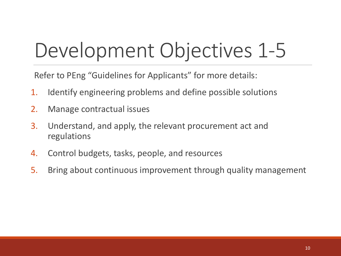## Development Objectives 1-5

Refer to PEng "Guidelines for Applicants" for more details:

- 1. Identify engineering problems and define possible solutions
- 2. Manage contractual issues
- 3. Understand, and apply, the relevant procurement act and regulations
- 4. Control budgets, tasks, people, and resources
- 5. Bring about continuous improvement through quality management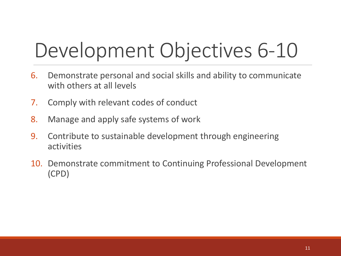## Development Objectives 6-10

- 6. Demonstrate personal and social skills and ability to communicate with others at all levels
- 7. Comply with relevant codes of conduct
- 8. Manage and apply safe systems of work
- 9. Contribute to sustainable development through engineering activities
- 10. Demonstrate commitment to Continuing Professional Development (CPD)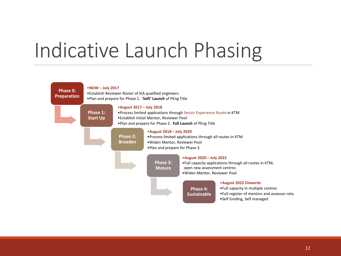### Indicative Launch Phasing

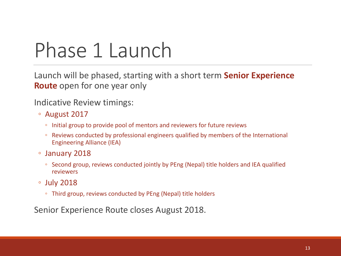### Phase 1 Launch

Launch will be phased, starting with a short term **Senior Experience Route** open for one year only

Indicative Review timings:

- August 2017
	- Initial group to provide pool of mentors and reviewers for future reviews
	- Reviews conducted by professional engineers qualified by members of the International Engineering Alliance (IEA)
- January 2018
	- Second group, reviews conducted jointly by PEng (Nepal) title holders and IEA qualified reviewers
- July 2018
	- Third group, reviews conducted by PEng (Nepal) title holders

Senior Experience Route closes August 2018.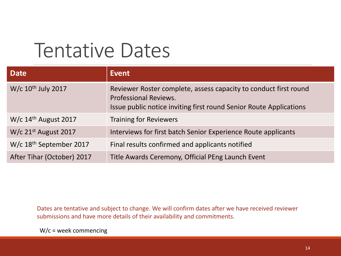### Tentative Dates

| <b>Date</b>                         | Event                                                                                                                                                                  |
|-------------------------------------|------------------------------------------------------------------------------------------------------------------------------------------------------------------------|
| W/c 10 <sup>th</sup> July 2017      | Reviewer Roster complete, assess capacity to conduct first round<br><b>Professional Reviews.</b><br>Issue public notice inviting first round Senior Route Applications |
| W/c $14th$ August 2017              | <b>Training for Reviewers</b>                                                                                                                                          |
| W/c 21st August 2017                | Interviews for first batch Senior Experience Route applicants                                                                                                          |
| W/c 18 <sup>th</sup> September 2017 | Final results confirmed and applicants notified                                                                                                                        |
| After Tihar (October) 2017          | Title Awards Ceremony, Official PEng Launch Event                                                                                                                      |

Dates are tentative and subject to change. We will confirm dates after we have received reviewer submissions and have more details of their availability and commitments.

W/c = week commencing